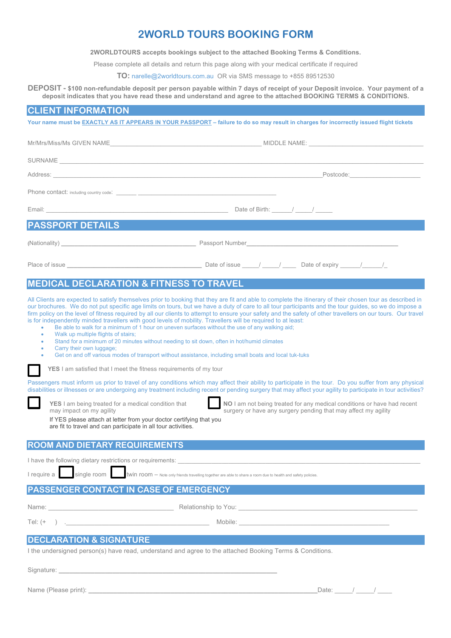## **2WORLD TOURS BOOKING FORM**

**2WORLDTOURS accepts bookings subject to the attached Booking Terms & Conditions.**

Please complete all details and return this page along with your medical certificate if required

**TO:** narelle@2worldtours.com.au OR via SMS message to +855 89512530

**DEPOSIT - \$100 non-refundable deposit per person payable within 7 days of receipt of your Deposit invoice. Your payment of a deposit indicates that you have read these and understand and agree to the attached BOOKING TERMS & CONDITIONS.**

### **CLIENT INFORMATION**

**Your name must be EXACTLY AS IT APPEARS IN YOUR PASSPORT – failure to do so may result in charges for incorrectly issued flight tickets**

|                         | Postcode: ______________________                                                                                                                                                                                                                                                                                                                                                                                      |  |  |  |  |  |
|-------------------------|-----------------------------------------------------------------------------------------------------------------------------------------------------------------------------------------------------------------------------------------------------------------------------------------------------------------------------------------------------------------------------------------------------------------------|--|--|--|--|--|
|                         |                                                                                                                                                                                                                                                                                                                                                                                                                       |  |  |  |  |  |
|                         | Date of Birth: / /                                                                                                                                                                                                                                                                                                                                                                                                    |  |  |  |  |  |
| <b>PASSPORT DETAILS</b> |                                                                                                                                                                                                                                                                                                                                                                                                                       |  |  |  |  |  |
|                         |                                                                                                                                                                                                                                                                                                                                                                                                                       |  |  |  |  |  |
|                         | Place of issue $\frac{1}{\sqrt{1-\frac{1}{\sqrt{1-\frac{1}{\sqrt{1-\frac{1}{\sqrt{1-\frac{1}{\sqrt{1-\frac{1}{\sqrt{1-\frac{1}{\sqrt{1-\frac{1}{\sqrt{1-\frac{1}{\sqrt{1-\frac{1}{\sqrt{1-\frac{1}{\sqrt{1-\frac{1}{\sqrt{1-\frac{1}{\sqrt{1-\frac{1}{\sqrt{1-\frac{1}{\sqrt{1-\frac{1}{\sqrt{1-\frac{1}{\sqrt{1-\frac{1}{\sqrt{1-\frac{1}{\sqrt{1-\frac{1}{\sqrt{1-\frac{1}{\sqrt{1-\frac{1}{\sqrt{1-\frac{1}{\sqrt$ |  |  |  |  |  |

### **MEDICAL DECLARATION & FITNESS TO TRAVEL**

All Clients are expected to satisfy themselves prior to booking that they are fit and able to complete the itinerary of their chosen tour as described in our brochures. We do not put specific age limits on tours, but we have a duty of care to all tour participants and the tour guides, so we do impose a firm policy on the level of fitness required by all our clients to attempt to ensure your safety and the safety of other travellers on our tours. Our travel is for independently minded travellers with good levels of mobility. Travellers will be required to at least:

- Be able to walk for a minimum of 1 hour on uneven surfaces without the use of any walking aid;
- Walk up multiple flights of stairs;
	- Stand for a minimum of 20 minutes without needing to sit down, often in hot/humid climates
- Carry their own luggage;
	- Get on and off various modes of transport without assistance, including small boats and local tuk-tuks
	- **YES** I am satisfied that I meet the fitness requirements of my tour

Passengers must inform us prior to travel of any conditions which may affect their ability to participate in the tour. Do you suffer from any physical disabilities or illnesses or are undergoing any treatment including recent or pending surgery that may affect your agility to participate in tour activities?



**YES** I am being treated for a medical condition that **NO** I am not being treated for any medical conditions or have had recent surgery or have any surgery pending that may affect my agility surgery or have any surgery pending that may affect my agility

| If YES please attach at letter from your doctor certifying that you |
|---------------------------------------------------------------------|
| are fit to travel and can participate in all tour activities.       |
|                                                                     |

## **ROOM AND DIETARY REQUIREMENTS**

I have the following dietary restrictions or requirements:

I require a single room twin room – Note only friends travelling together are able to share a room due to health and safety policies.

## **PASSENGER CONTACT IN CASE OF EMERGENCY**

Tel: (+ ) .

|        | ٧ | ٧ |  |
|--------|---|---|--|
| ______ |   |   |  |
|        |   |   |  |

Name: Relationship to You:

# **DECLARATION & SIGNATURE**

I the undersigned person(s) have read, understand and agree to the attached Booking Terms & Conditions.

Signature:

Name (Please print): **\_\_\_\_\_\_\_\_\_\_\_\_\_\_\_\_\_\_\_\_\_\_\_\_\_\_\_\_\_\_\_\_\_\_\_\_\_\_\_\_\_\_\_\_\_\_\_\_\_\_\_\_\_\_\_\_\_\_\_\_\_\_\_\_**Date: \_\_\_\_\_/ \_\_\_\_\_/ \_\_\_\_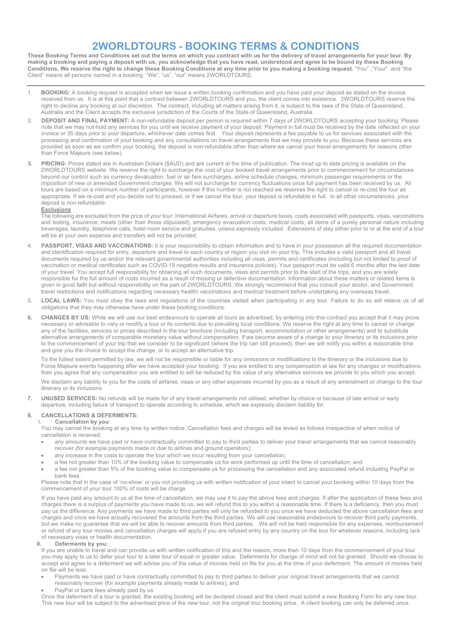# **2WORLDTOURS - BOOKING TERMS & CONDITIONS**

**These Booking Terms and Conditions set out the terms on which you contract with us for the delivery of travel arrangements for your tour. By making a booking and paying a deposit with us, you acknowledge that you have read, understood and agree to be bound by these Booking Conditions. We reserve the right to change these Booking Conditions at any time prior to you making a booking request.** "You" ,"Your" and "the Client" means all persons named in a booking. "We", "us", "our" means 2WORLDTOURS.

- 1. **BOOKING:** A booking request is accepted when we issue a written booking confirmation and you have paid your deposit as stated on the invoice received from us. It is at this point that a contract between 2WORLDTOURS and you, the client comes into existence. 2WORLDTOURS reserve the right to decline any booking at our discretion. The contract, including all matters arising from it, is subject to the laws of the State of Queensland, Australia and the Client accepts the exclusive jurisdiction of the Courts of the State of Queensland, Australia.
- 2. **DEPOSIT AND FINAL PAYMENT:** A non-refundable deposit per person is required within 7 days of 2WORLDTOURS accepting your booking. Please note that we may not hold any services for you until we receive payment of your deposit. Payment in full must be received by the date reflected on your invoice or 35 days prior to your departure, whichever date comes first. Your deposit represents a fee payable to us for services associated with the processing and confirmation of your booking and any consultations on travel arrangements that we may provide to you. Because these services are provided as soon as we confirm your booking, the deposit is non-refundable other than where we cancel your travel arrangements for reasons other than Force Majeure (see below).
- **3. PRICING:** Prices stated are in Australian Dollars (\$AUD) and are current at the time of publication. The most up to date pricing is available on the 2WORLDTOURS website. We reserve the right to surcharge the cost of your booked travel arrangements prior to commencement for circumstances beyond our control such as currency devaluation, fuel or air fare surcharges, airline schedule changes, minimum passenger requirements or the imposition of new or amended Government charges. We will not surcharge for currency fluctuations once full payment has been received by us. All tours are based on a minimum number of participants, however if this number is not reached we reserves the right to cancel or re-cost the tour as appropriate. If we re-cost and you decide not to proceed, or if we cancel the tour, your deposit is refundable in full. In all other circumstances, your deposit is non-refundable.

#### **Exclusions**

The following are excluded from the price of your tour: International Airfares, arrival or departure taxes, costs associated with passports, visas, vaccinations and testing, insurance, meals (other than those stipulated), emergency evacuation costs, medical costs, all items of a purely personal nature including beverages, laundry, telephone calls, hotel room service and gratuities, unless expressly included. Extensions of stay either prior to or at the end of a tour will be at your own expense and transfers will not be provided.

- 4. **PASSPORT, VISAS AND VACCINATIONS:** It is your responsibility to obtain information and to have in your possession all the required documentation and identification required for entry, departure and travel to each country or region you visit on your trip. This includes a valid passport and all travel documents required by us and/or the relevant governmental authorities including all visas, permits and certificates (including but not limited to proof of vaccination or medical certificates such as COVID-19 negative results and insurance policies). Your passport must be valid 6 months after the last date of your travel. You accept full responsibility for obtaining all such documents, visas and permits prior to the start of the trips, and you are solely responsible for the full amount of costs incurred as a result of missing or defective documentation. Information about these matters or related items is given in good faith but without responsibility on the part of 2WORLDTOURS. We strongly recommend that you consult your doctor, and Government travel restrictions and notifications regarding necessary health/ vaccinations and medical treatment before undertaking any overseas travel.
- 5. **LOCAL LAWS:** You must obey the laws and regulations of the countries visited when participating in any tour. Failure to do so will relieve us of all obligations that they may otherwise have under these booking conditions.
- **6. CHANGES BY US:** While we will use our best endeavours to operate all tours as advertised, by entering into this contract you accept that it may prove necessary or advisable to vary or modify a tour or its contents due to prevailing local conditions. We reserve the right at any time to cancel or change any of the facilities, services or prices described in the tour brochure (including transport, accommodation or other arrangements) and to substitute alternative arrangements of comparable monetary value without compensation. If we become aware of a change to your itinerary or its inclusions prior to the commencement of your trip that we consider to be significant (where the trip can still proceed), then we will notify you within a reasonable time and give you the choice to accept the change, or to accept an alternative trip.

To the fullest extent permitted by law, we will not be responsible or liable for any omissions or modifications to the itinerary or the inclusions due to Force Majeure events happening after we have accepted your booking. If you are entitled to any compensation at law for any changes or modifications, then you agree that any compensation you are entitled to will be reduced by the value of any alternative services we provide to you which you accept.

We disclaim any liability to you for the costs of airfares, visas or any other expenses incurred by you as a result of any amendment or change to the tour itinerary or its inclusions.

**7. UNUSED SERVICES:** No refunds will be made for of any travel arrangements not utilised, whether by choice or because of late arrival or early departure, including failure of transport to operate according to schedule, which we expressly disclaim liability for.

#### **8. CANCELLATIONS & DEFERMENTS:**

Cancellation by you:

You may cancel the booking at any time by written notice. Cancellation fees and charges will be levied as follows irrespective of when notice of cancellation is received;

- any amounts we have paid or have contractually committed to pay to third parties to deliver your travel arrangements that we cannot reasonably recover (for example payments made or due to airlines and ground operators);
- any increase in the costs to operate the tour which we incur resulting from your cancellation;
- a fee not greater than 10% of the booking value to compensate us for work performed up until the time of cancellation; and
- a fee not greater than 5% of the booking value to compensate us for processing the cancellation and any associated refund including PayPal or bank fees.

Please note that in the case of 'no-show' or you not providing us with written notification of your intent to cancel your booking within 10 days from the commencement of your tour 100% of costs will be charge.

If you have paid any amount to us at the time of cancellation, we may use it to pay the above fees and charges. If after the application of these fees and charges there is a surplus of payments you have made to us, we will refund this to you within a reasonable time. If there is a deficiency, then you must pay us the difference. Any payments we have made to third parties will only be refunded to you once we have deducted the above cancellation fees and charges and once we have actually recovered the amounts from the third parties. We will use reasonable endeavours to recover third party payments, but we make no guarantee that we will be able to recover amounts from third parties. We will not be held responsible for any expenses, reimbursement or refund of any tour monies and cancellation charges will apply if you are refused entry by any country on the tour for whatever reasons, including lack of necessary visas or health documentation.

#### **II. Deferments by you:**

If you are unable to travel and can provide us with written notification of this and the reason, more than 10 days from the commencement of your tour you may apply to us to defer your tour to a later tour of equal or greater value. Deferments for change of mind will not be granted. Should we choose to accept and agree to a deferment we will advise you of the value of monies held on file for you at the time of your deferment. The amount of monies held on file will be less:

- Payments we have paid or have contractually committed to pay to third parties to deliver your original travel arrangements that we cannot reasonably recover (for example payments already made to airlines); and
- PayPal or bank fees already paid by us

Once the deferment of a tour is granted, the existing booking will be declared closed and the client must submit a new Booking Form for any new tour. This new tour will be subject to the advertised price of the new tour, not the original tour booking price. A client booking can only be deferred once.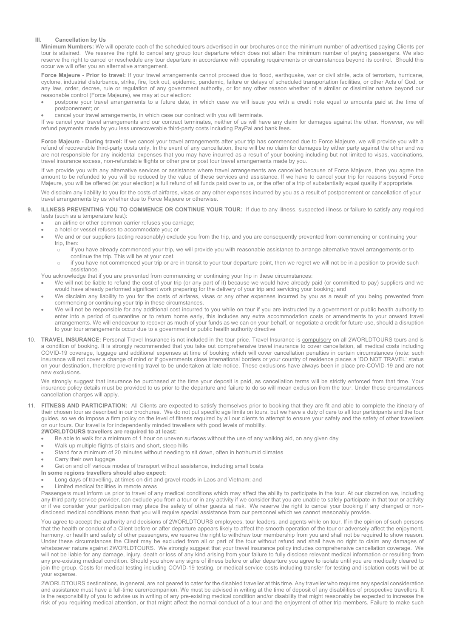#### **III. Cancellation by Us**

**Minimum Numbers:** We will operate each of the scheduled tours advertised in our brochures once the minimum number of advertised paying Clients per tour is attained. We reserve the right to cancel any group tour departure which does not attain the minimum number of paying passengers. We also reserve the right to cancel or reschedule any tour departure in accordance with operating requirements or circumstances beyond its control. Should this occur we will offer you an alternative arrangement.

Force Majeure - Prior to travel: If your travel arrangements cannot proceed due to flood, earthquake, war or civil strife, acts of terrorism, hurricane, cyclone, industrial disturbance, strike, fire, lock out, epidemic, pandemic, failure or delays of scheduled transportation facilities, or other Acts of God, or any law, order, decree, rule or regulation of any government authority, or for any other reason whether of a similar or dissimilar nature beyond our reasonable control (Force Majeure), we may at our election:

- postpone your travel arrangements to a future date, in which case we will issue you with a credit note equal to amounts paid at the time of postponement; or
- cancel your travel arrangements, in which case our contract with you will terminate.

If we cancel your travel arrangements and our contract terminates, neither of us will have any claim for damages against the other. However, we will like refund payments made by you less unrecoverable third-party costs including PayPal and bank fees.

**Force Majeure - During travel:** If we cancel your travel arrangements after your trip has commenced due to Force Majeure, we will provide you with a refund of recoverable third-party costs only. In the event of any cancellation, there will be no claim for damages by either party against the other and we are not responsible for any incidental expenses that you may have incurred as a result of your booking including but not limited to visas, vaccinations, travel insurance excess, non-refundable flights or other pre or post tour travel arrangements made by you.

If we provide you with any alternative services or assistance where travel arrangements are cancelled because of Force Majeure, then you agree the amount to be refunded to you will be reduced by the value of these services and assistance. If we have to cancel your trip for reasons beyond Force Majeure, you will be offered (at your election) a full refund of all funds paid over to us, or the offer of a trip of substantially equal quality if appropriate.

We disclaim any liability to you for the costs of airfares, visas or any other expenses incurred by you as a result of postponement or cancellation of your travel arrangements by us whether due to Force Majeure or otherwise.

#### **9. ILLNESS PREVENTING YOU TO COMMENCE OR CONTINUE YOUR TOUR:** If due to any illness, suspected illness or failure to satisfy any required tests (such as a temperature test):

- an airline or other common carrier refuses you carriage;
- a hotel or vessel refuses to accommodate you; or
	- We and or our suppliers (acting reasonably) exclude you from the trip, and you are consequently prevented from commencing or continuing your trip, then:
		- if you have already commenced your trip, we will provide you with reasonable assistance to arrange alternative travel arrangements or to continue the trip. This will be at your cost.
		- if you have not commenced your trip or are in transit to your tour departure point, then we regret we will not be in a position to provide such assistance.

You acknowledge that if you are prevented from commencing or continuing your trip in these circumstances:

- We will not be liable to refund the cost of your trip (or any part of it) because we would have already paid (or committed to pay) suppliers and we would have already performed significant work preparing for the delivery of your trip and servicing your booking; and
- We disclaim any liability to you for the costs of airfares, visas or any other expenses incurred by you as a result of you being prevented from commencing or continuing your trip in these circumstances.
- We will not be responsible for any additional cost incurred to you while on tour if you are instructed by a government or public health authority to enter into a period of quarantine or to return home early, this includes any extra accommodation costs or amendments to your onward travel arrangements. We will endeavour to recover as much of your funds as we can on your behalf, or negotiate a credit for future use, should a disruption to your tour arrangements occur due to a government or public health authority directive
- 10. **TRAVEL INSURANCE:** Personal Travel Insurance is not included in the tour price. Travel Insurance is compulsory on all 2WORLDTOURS tours and is a condition of booking. It is strongly recommended that you take out comprehensive travel insurance to cover cancellation, all medical costs including COVID-19 coverage, luggage and additional expenses at time of booking which will cover cancellation penalties in certain circumstances (note: such insurance will not cover a change of mind or if governments close international borders or your country of residence places a 'DO NOT TRAVEL' status on your destination, therefore preventing travel to be undertaken at late notice. These exclusions have always been in place pre-COVID-19 and are not new exclusions.

We strongly suggest that insurance be purchased at the time your deposit is paid, as cancellation terms will be strictly enforced from that time. Your insurance policy details must be provided to us prior to the departure and failure to do so will mean exclusion from the tour. Under these circumstances cancellation charges will apply.

11. **FITNESS AND PARTICIPATION:** All Clients are expected to satisfy themselves prior to booking that they are fit and able to complete the itinerary of their chosen tour as described in our brochures. We do not put specific age limits on tours, but we have a duty of care to all tour participants and the tour guides, so we do impose a firm policy on the level of fitness required by all our clients to attempt to ensure your safety and the safety of other travellers on our tours. Our travel is for independently minded travellers with good levels of mobility.

### **2WORLDTOURS travellers are required to at least:**

- Be able to walk for a minimum of 1 hour on uneven surfaces without the use of any walking aid, on any given day
- Walk up multiple flights of stairs and short, steep hills
- Stand for a minimum of 20 minutes without needing to sit down, often in hot/humid climates
- Carry their own luggage
- Get on and off various modes of transport without assistance, including small boats
- **In some regions travellers should also expect:**
- Long days of travelling, at times on dirt and gravel roads in Laos and Vietnam; and
- Limited medical facilities in remote areas

Passengers must inform us prior to travel of any medical conditions which may affect the ability to participate in the tour. At our discretion we, including any third party service provider, can exclude you from a tour or in any activity if we consider that you are unable to safely participate in that tour or activity or if we consider your participation may place the safety of other guests at risk. We reserve the right to cancel your booking if any changed or nondisclosed medical conditions mean that you will require special assistance from our personnel which we cannot reasonably provide.

You agree to accept the authority and decisions of 2WORLDTOURS employees, tour leaders, and agents while on tour. If in the opinion of such persons that the health or conduct of a Client before or after departure appears likely to affect the smooth operation of the tour or adversely affect the enjoyment, harmony, or health and safety of other passengers, we reserve the right to withdraw tour membership from you and shall not be required to show reason. Under these circumstances the Client may be excluded from all or part of the tour without refund and shall have no right to claim any damages of whatsoever nature against 2WORLDTOURS. We strongly suggest that your travel insurance policy includes comprehensive cancellation coverage. We will not be liable for any damage, injury, death or loss of any kind arising from your failure to fully disclose relevant medical information or resulting from any pre-existing medical condition. Should you show any signs of illness before or after departure you agree to isolate until you are medically cleared to join the group. Costs for medical testing including COVID-19 testing, or medical service costs including transfer for testing and isolation costs will be at your expense.

2WORLDTOURS destinations, in general, are not geared to cater for the disabled traveller at this time. Any traveller who requires any special consideration and assistance must have a full-time carer/companion. We must be advised in writing at the time of deposit of any disabilities of prospective travellers. It is the responsibility of you to advise us in writing of any pre-existing medical condition and/or disability that might reasonably be expected to increase the risk of you requiring medical attention, or that might affect the normal conduct of a tour and the enjoyment of other trip members. Failure to make such